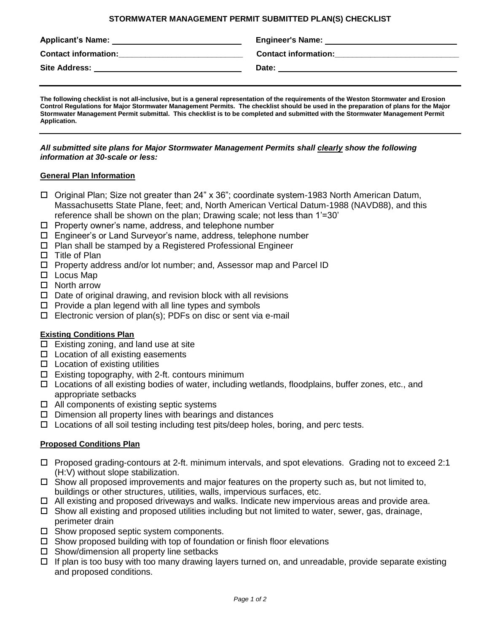#### **STORMWATER MANAGEMENT PERMIT SUBMITTED PLAN(S) CHECKLIST**

| <b>Applicant's Name:</b>    | <b>Engineer's Name:</b>     |
|-----------------------------|-----------------------------|
| <b>Contact information:</b> | <b>Contact information:</b> |
| <b>Site Address:</b>        | Date:                       |

**The following checklist is not all-inclusive, but is a general representation of the requirements of the Weston Stormwater and Erosion Control Regulations for Major Stormwater Management Permits. The checklist should be used in the preparation of plans for the Major Stormwater Management Permit submittal. This checklist is to be completed and submitted with the Stormwater Management Permit Application.**

#### *All submitted site plans for Major Stormwater Management Permits shall clearly show the following information at 30-scale or less:*

#### **General Plan Information**

- Original Plan; Size not greater than 24" x 36"; coordinate system-1983 North American Datum, Massachusetts State Plane, feet; and, North American Vertical Datum-1988 (NAVD88), and this reference shall be shown on the plan; Drawing scale; not less than 1'=30'
- $\Box$  Property owner's name, address, and telephone number
- Engineer's or Land Surveyor's name, address, telephone number
- $\Box$  Plan shall be stamped by a Registered Professional Engineer
- $\Box$  Title of Plan
- □ Property address and/or lot number; and, Assessor map and Parcel ID
- $\square$  Locus Map
- □ North arrow
- $\Box$  Date of original drawing, and revision block with all revisions
- $\Box$  Provide a plan legend with all line types and symbols
- $\square$  Electronic version of plan(s); PDFs on disc or sent via e-mail

# **Existing Conditions Plan**

- $\Box$  Existing zoning, and land use at site
- $\Box$  Location of all existing easements
- $\Box$  Location of existing utilities
- $\Box$  Existing topography, with 2-ft. contours minimum
- $\Box$  Locations of all existing bodies of water, including wetlands, floodplains, buffer zones, etc., and appropriate setbacks
- $\Box$  All components of existing septic systems
- $\Box$  Dimension all property lines with bearings and distances
- $\Box$  Locations of all soil testing including test pits/deep holes, boring, and perc tests.

# **Proposed Conditions Plan**

- Proposed grading-contours at 2-ft. minimum intervals, and spot elevations. Grading not to exceed 2:1 (H:V) without slope stabilization.
- $\Box$  Show all proposed improvements and major features on the property such as, but not limited to, buildings or other structures, utilities, walls, impervious surfaces, etc.
- $\Box$  All existing and proposed driveways and walks. Indicate new impervious areas and provide area.
- $\Box$  Show all existing and proposed utilities including but not limited to water, sewer, gas, drainage, perimeter drain
- $\Box$  Show proposed septic system components.
- $\Box$  Show proposed building with top of foundation or finish floor elevations
- $\Box$  Show/dimension all property line setbacks
- $\Box$  If plan is too busy with too many drawing layers turned on, and unreadable, provide separate existing and proposed conditions.